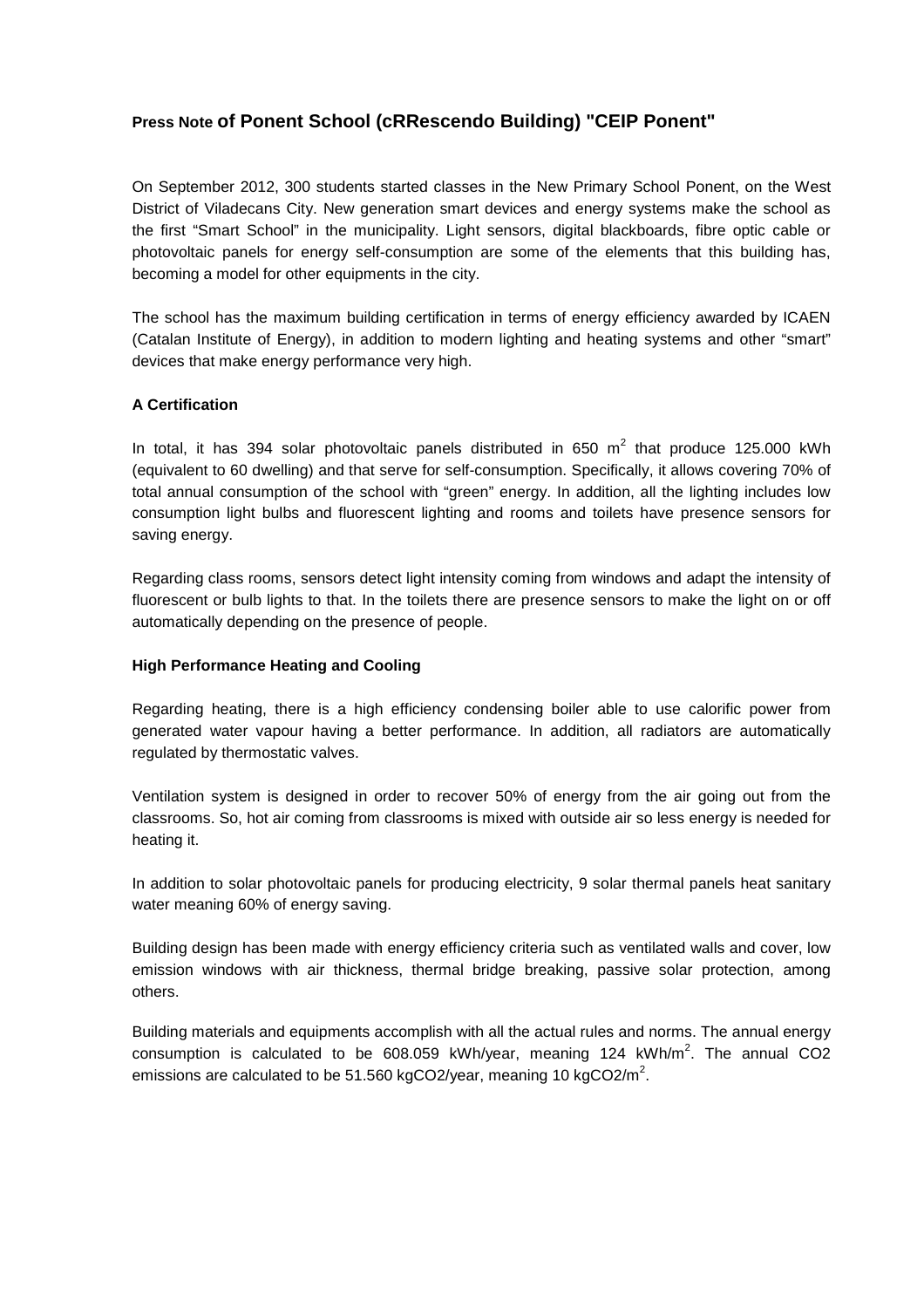# **Press Note of Ponent School (cRRescendo Building) "CEIP Ponent"**

On September 2012, 300 students started classes in the New Primary School Ponent, on the West District of Viladecans City. New generation smart devices and energy systems make the school as the first "Smart School" in the municipality. Light sensors, digital blackboards, fibre optic cable or photovoltaic panels for energy self-consumption are some of the elements that this building has, becoming a model for other equipments in the city.

The school has the maximum building certification in terms of energy efficiency awarded by ICAEN (Catalan Institute of Energy), in addition to modern lighting and heating systems and other "smart" devices that make energy performance very high.

# **A Certification**

In total, it has 394 solar photovoltaic panels distributed in 650  $m^2$  that produce 125.000 kWh (equivalent to 60 dwelling) and that serve for self-consumption. Specifically, it allows covering 70% of total annual consumption of the school with "green" energy. In addition, all the lighting includes low consumption light bulbs and fluorescent lighting and rooms and toilets have presence sensors for saving energy.

Regarding class rooms, sensors detect light intensity coming from windows and adapt the intensity of fluorescent or bulb lights to that. In the toilets there are presence sensors to make the light on or off automatically depending on the presence of people.

### **High Performance Heating and Cooling**

Regarding heating, there is a high efficiency condensing boiler able to use calorific power from generated water vapour having a better performance. In addition, all radiators are automatically regulated by thermostatic valves.

Ventilation system is designed in order to recover 50% of energy from the air going out from the classrooms. So, hot air coming from classrooms is mixed with outside air so less energy is needed for heating it.

In addition to solar photovoltaic panels for producing electricity, 9 solar thermal panels heat sanitary water meaning 60% of energy saving.

Building design has been made with energy efficiency criteria such as ventilated walls and cover, low emission windows with air thickness, thermal bridge breaking, passive solar protection, among others.

Building materials and equipments accomplish with all the actual rules and norms. The annual energy consumption is calculated to be  $608.059$  kWh/year, meaning 124 kWh/m<sup>2</sup>. The annual CO2 emissions are calculated to be 51.560 kgCO2/year, meaning 10 kgCO2/m<sup>2</sup>.